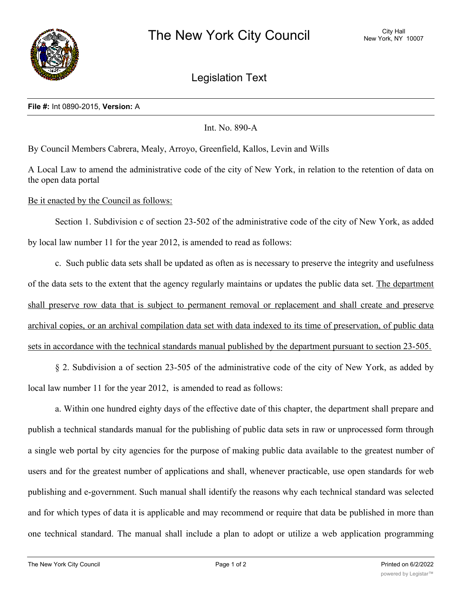

Legislation Text

## **File #:** Int 0890-2015, **Version:** A

Int. No. 890-A

By Council Members Cabrera, Mealy, Arroyo, Greenfield, Kallos, Levin and Wills

A Local Law to amend the administrative code of the city of New York, in relation to the retention of data on the open data portal

Be it enacted by the Council as follows:

Section 1. Subdivision c of section 23-502 of the administrative code of the city of New York, as added by local law number 11 for the year 2012, is amended to read as follows:

c. Such public data sets shall be updated as often as is necessary to preserve the integrity and usefulness of the data sets to the extent that the agency regularly maintains or updates the public data set. The department shall preserve row data that is subject to permanent removal or replacement and shall create and preserve archival copies, or an archival compilation data set with data indexed to its time of preservation, of public data sets in accordance with the technical standards manual published by the department pursuant to section 23-505.

§ 2. Subdivision a of section 23-505 of the administrative code of the city of New York, as added by local law number 11 for the year 2012, is amended to read as follows:

a. Within one hundred eighty days of the effective date of this chapter, the department shall prepare and publish a technical standards manual for the publishing of public data sets in raw or unprocessed form through a single web portal by city agencies for the purpose of making public data available to the greatest number of users and for the greatest number of applications and shall, whenever practicable, use open standards for web publishing and e-government. Such manual shall identify the reasons why each technical standard was selected and for which types of data it is applicable and may recommend or require that data be published in more than one technical standard. The manual shall include a plan to adopt or utilize a web application programming